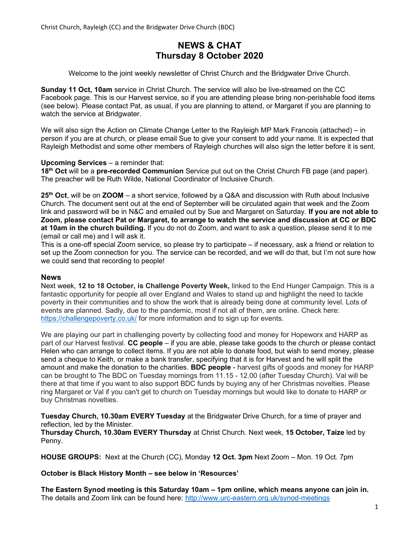# NEWS & CHAT Thursday 8 October 2020

Welcome to the joint weekly newsletter of Christ Church and the Bridgwater Drive Church.

Sunday 11 Oct, 10am service in Christ Church. The service will also be live-streamed on the CC Facebook page. This is our Harvest service, so if you are attending please bring non-perishable food items (see below). Please contact Pat, as usual, if you are planning to attend, or Margaret if you are planning to watch the service at Bridgwater.

We will also sign the Action on Climate Change Letter to the Rayleigh MP Mark Francois (attached) – in person if you are at church, or please email Sue to give your consent to add your name. It is expected that Rayleigh Methodist and some other members of Rayleigh churches will also sign the letter before it is sent.

### Upcoming Services – a reminder that:

18<sup>th</sup> Oct will be a pre-recorded Communion Service put out on the Christ Church FB page (and paper). The preacher will be Ruth Wilde, National Coordinator of Inclusive Church.

25<sup>th</sup> Oct, will be on ZOOM – a short service, followed by a Q&A and discussion with Ruth about Inclusive Church. The document sent out at the end of September will be circulated again that week and the Zoom link and password will be in N&C and emailed out by Sue and Margaret on Saturday. If you are not able to Zoom, please contact Pat or Margaret, to arrange to watch the service and discussion at CC or BDC at 10am in the church building. If you do not do Zoom, and want to ask a question, please send it to me (email or call me) and I will ask it.

This is a one-off special Zoom service, so please try to participate – if necessary, ask a friend or relation to set up the Zoom connection for you. The service can be recorded, and we will do that, but I'm not sure how we could send that recording to people!

### News

Next week, 12 to 18 October, is Challenge Poverty Week, linked to the End Hunger Campaign. This is a fantastic opportunity for people all over England and Wales to stand up and highlight the need to tackle poverty in their communities and to show the work that is already being done at community level. Lots of events are planned. Sadly, due to the pandemic, most if not all of them, are online. Check here: https://challengepoverty.co.uk/ for more information and to sign up for events.

We are playing our part in challenging poverty by collecting food and money for Hopeworx and HARP as part of our Harvest festival. CC people – if you are able, please take goods to the church or please contact Helen who can arrange to collect items. If you are not able to donate food, but wish to send money, please send a cheque to Keith, or make a bank transfer, specifying that it is for Harvest and he will split the amount and make the donation to the charities. **BDC people** - harvest gifts of goods and money for HARP can be brought to The BDC on Tuesday mornings from 11.15 - 12.00 (after Tuesday Church). Val will be there at that time if you want to also support BDC funds by buying any of her Christmas novelties. Please ring Margaret or Val if you can't get to church on Tuesday mornings but would like to donate to HARP or buy Christmas novelties.

Tuesday Church, 10.30am EVERY Tuesday at the Bridgwater Drive Church, for a time of prayer and reflection, led by the Minister.

Thursday Church, 10.30am EVERY Thursday at Christ Church. Next week, 15 October, Taize led by Penny.

HOUSE GROUPS: Next at the Church (CC), Monday 12 Oct. 3pm Next Zoom – Mon. 19 Oct. 7pm

October is Black History Month – see below in 'Resources'

The Eastern Synod meeting is this Saturday 10am – 1pm online, which means anyone can join in. The details and Zoom link can be found here: http://www.urc-eastern.org.uk/synod-meetings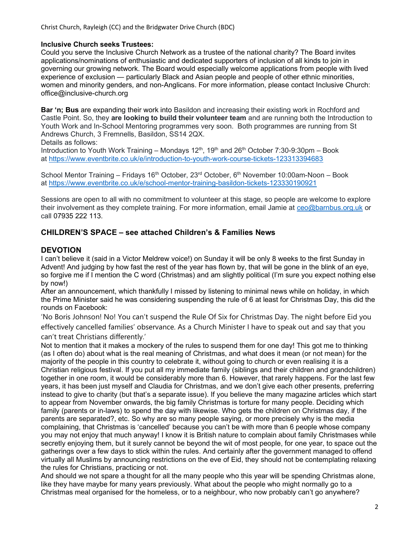## Inclusive Church seeks Trustees:

Could you serve the Inclusive Church Network as a trustee of the national charity? The Board invites applications/nominations of enthusiastic and dedicated supporters of inclusion of all kinds to join in governing our growing network. The Board would especially welcome applications from people with lived experience of exclusion — particularly Black and Asian people and people of other ethnic minorities, women and minority genders, and non-Anglicans. For more information, please contact Inclusive Church: office@inclusive-church.org

Bar 'n; Bus are expanding their work into Basildon and increasing their existing work in Rochford and Castle Point. So, they are looking to build their volunteer team and are running both the Introduction to Youth Work and In-School Mentoring programmes very soon. Both programmes are running from St Andrews Church, 3 Fremnells, Basildon, SS14 2QX.

Details as follows:

Introduction to Youth Work Training – Mondays  $12^{th}$ , 19<sup>th</sup> and  $26^{th}$  October 7:30-9:30pm – Book at https://www.eventbrite.co.uk/e/introduction-to-youth-work-course-tickets-123313394683

School Mentor Training – Fridays 16<sup>th</sup> October, 23<sup>rd</sup> October, 6<sup>th</sup> November 10:00am-Noon – Book at https://www.eventbrite.co.uk/e/school-mentor-training-basildon-tickets-123330190921

Sessions are open to all with no commitment to volunteer at this stage, so people are welcome to explore their involvement as they complete training. For more information, email Jamie at ceo@barnbus.org.uk or call 07935 222 113.

## CHILDREN'S SPACE – see attached Children's & Families News

## **DEVOTION**

I can't believe it (said in a Victor Meldrew voice!) on Sunday it will be only 8 weeks to the first Sunday in Advent! And judging by how fast the rest of the year has flown by, that will be gone in the blink of an eye, so forgive me if I mention the C word (Christmas) and am slightly political (I'm sure you expect nothing else by now!)

After an announcement, which thankfully I missed by listening to minimal news while on holiday, in which the Prime Minister said he was considering suspending the rule of 6 at least for Christmas Day, this did the rounds on Facebook:

'No Boris Johnson! No! You can't suspend the Rule Of Six for Christmas Day. The night before Eid you effectively cancelled families' observance. As a Church Minister I have to speak out and say that you can't treat Christians differently.'

Not to mention that it makes a mockery of the rules to suspend them for one day! This got me to thinking (as I often do) about what is the real meaning of Christmas, and what does it mean (or not mean) for the majority of the people in this country to celebrate it, without going to church or even realising it is a Christian religious festival. If you put all my immediate family (siblings and their children and grandchildren) together in one room, it would be considerably more than 6. However, that rarely happens. For the last few years, it has been just myself and Claudia for Christmas, and we don't give each other presents, preferring instead to give to charity (but that's a separate issue). If you believe the many magazine articles which start to appear from November onwards, the big family Christmas is torture for many people. Deciding which family (parents or in-laws) to spend the day with likewise. Who gets the children on Christmas day, if the parents are separated?, etc. So why are so many people saying, or more precisely why is the media complaining, that Christmas is 'cancelled' because you can't be with more than 6 people whose company you may not enjoy that much anyway! I know it is British nature to complain about family Christmases while secretly enjoying them, but it surely cannot be beyond the wit of most people, for one year, to space out the gatherings over a few days to stick within the rules. And certainly after the government managed to offend virtually all Muslims by announcing restrictions on the eve of Eid, they should not be contemplating relaxing the rules for Christians, practicing or not.

And should we not spare a thought for all the many people who this year will be spending Christmas alone, like they have maybe for many years previously. What about the people who might normally go to a Christmas meal organised for the homeless, or to a neighbour, who now probably can't go anywhere?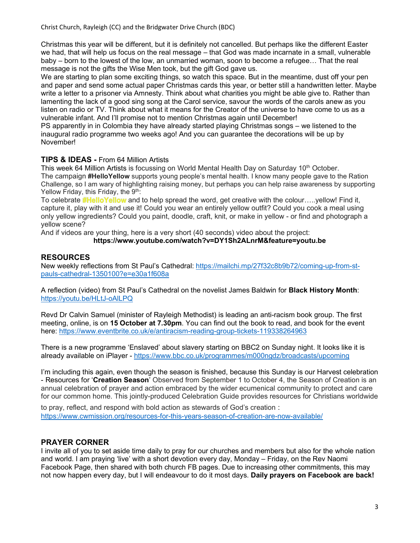Christ Church, Rayleigh (CC) and the Bridgwater Drive Church (BDC)

Christmas this year will be different, but it is definitely not cancelled. But perhaps like the different Easter we had, that will help us focus on the real message – that God was made incarnate in a small, vulnerable baby – born to the lowest of the low, an unmarried woman, soon to become a refugee… That the real message is not the gifts the Wise Men took, but the gift God gave us.

We are starting to plan some exciting things, so watch this space. But in the meantime, dust off your pen and paper and send some actual paper Christmas cards this year, or better still a handwritten letter. Maybe write a letter to a prisoner via Amnesty. Think about what charities you might be able give to. Rather than lamenting the lack of a good sing song at the Carol service, savour the words of the carols anew as you listen on radio or TV. Think about what it means for the Creator of the universe to have come to us as a vulnerable infant. And I'll promise not to mention Christmas again until December!

PS apparently in in Colombia they have already started playing Christmas songs – we listened to the inaugural radio programme two weeks ago! And you can guarantee the decorations will be up by November!

## TIPS & IDEAS - From 64 Million Artists

This week 64 Million Artists is focussing on World Mental Health Day on Saturday 10<sup>th</sup> October. The campaign **#HelloYellow** supports young people's mental health. I know many people gave to the Ration Challenge, so I am wary of highlighting raising money, but perhaps you can help raise awareness by supporting Yellow Friday, this Friday, the  $9<sup>th</sup>$ :

To celebrate **#HelloYellow** and to help spread the word, get creative with the colour.....yellow! Find it, capture it, play with it and use it! Could you wear an entirely yellow outfit? Could you cook a meal using only yellow ingredients? Could you paint, doodle, craft, knit, or make in yellow - or find and photograph a yellow scene?

And if videos are your thing, here is a very short (40 seconds) video about the project:

### https://www.youtube.com/watch?v=DY1Sh2ALnrM&feature=youtu.be

## RESOURCES

New weekly reflections from St Paul's Cathedral: https://mailchi.mp/27f32c8b9b72/coming-up-from-stpauls-cathedral-1350100?e=e30a1f608a<br>A reflection (video) from St Paul's Cathedral on the novelist James Baldwin for **Black History Month**:

<u>https://youtu.be/HLtJ-oAlLPQ</u><br>Revd Dr Calvin Samuel (minister of Rayleigh Methodist) is leading an anti-racism book group. The first

meeting, online, is on 15 October at 7.30pm. You can find out the book to read, and book for the event here: <u>https://www.eventbrite.co.uk/e/antiracism-reading-group-tickets-119338264963</u><br>There is a new programme 'Enslaved' about slavery starting on BBC2 on Sunday night. It looks like it is

already available on iPlayer - https://www.bbc.co.uk/programmes/m000ngdz/broadcasts/upcoming

I'm including this again, even though the season is finished, because this Sunday is our Harvest celebration - Resources for 'Creation Season' Observed from September 1 to October 4, the Season of Creation is an annual celebration of prayer and action embraced by the wider ecumenical community to protect and care for our common home. This jointly-produced Celebration Guide provides resources for Christians worldwide

to pray, reflect, and respond with bold action as stewards of God's creation : https://www.cwmission.org/resources-for-this-years-season-of-creation-are-now-available/

## PRAYER CORNER

I invite all of you to set aside time daily to pray for our churches and members but also for the whole nation and world. I am praying 'live' with a short devotion every day, Monday – Friday, on the Rev Naomi Facebook Page, then shared with both church FB pages. Due to increasing other commitments, this may not now happen every day, but I will endeavour to do it most days. Daily prayers on Facebook are back!